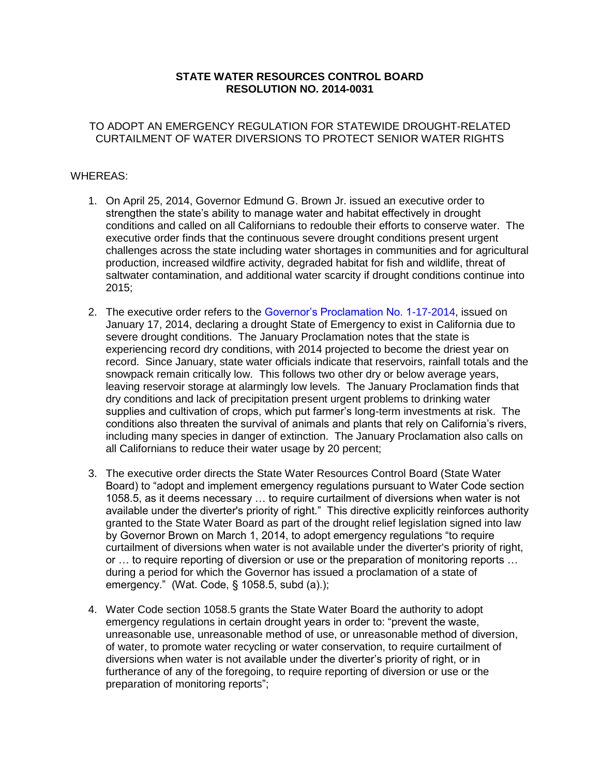# **STATE WATER RESOURCES CONTROL BOARD RESOLUTION NO. 2014-0031**

## TO ADOPT AN EMERGENCY REGULATION FOR STATEWIDE DROUGHT-RELATED CURTAILMENT OF WATER DIVERSIONS TO PROTECT SENIOR WATER RIGHTS

# WHEREAS:

- 1. On April 25, 2014, Governor Edmund G. Brown Jr. issued an executive order to strengthen the state's ability to manage water and habitat effectively in drought conditions and called on all Californians to redouble their efforts to conserve water. The executive order finds that the continuous severe drought conditions present urgent challenges across the state including water shortages in communities and for agricultural production, increased wildfire activity, degraded habitat for fish and wildlife, threat of saltwater contamination, and additional water scarcity if drought conditions continue into  $2015:$
- 2015;<br>2. The executive order refers to the [Governor's](http://gov.ca.gov/news.php?id=18379) Proclamation No. 1-17-2014, issued on January 17, 2014, declaring a drought State of Emergency to exist in California due to severe drought conditions. The January Proclamation notes that the state is experiencing record dry conditions, with 2014 projected to become the driest year on record. Since January, state water officials indicate that reservoirs, rainfall totals and the snowpack remain critically low. This follows two other dry or below average years, leaving reservoir storage at alarmingly low levels. The January Proclamation finds that dry conditions and lack of precipitation present urgent problems to drinking water supplies and cultivation of crops, which put farmer's long-term investments at risk. The conditions also threaten the survival of animals and plants that rely on California's rivers, including many species in danger of extinction. The January Proclamation also calls on all Californians to reduce their water usage by 20 percent;
- 3. The executive order directs the State Water Resources Control Board (State Water Board) to "adopt and implement emergency regulations pursuant to Water Code section 1058.5, as it deems necessary … to require curtailment of diversions when water is not available under the diverter's priority of right." This directive explicitly reinforces authority granted to the State Water Board as part of the drought relief legislation signed into law by Governor Brown on March 1, 2014, to adopt emergency regulations "to require curtailment of diversions when water is not available under the diverter's priority of right, or … to require reporting of diversion or use or the preparation of monitoring reports … during a period for which the Governor has issued a proclamation of a state of emergency." (Wat. Code, § 1058.5, subd (a).);
- 4. Water Code section 1058.5 grants the State Water Board the authority to adopt emergency regulations in certain drought years in order to: "prevent the waste, unreasonable use, unreasonable method of use, or unreasonable method of diversion, of water, to promote water recycling or water conservation, to require curtailment of diversions when water is not available under the diverter's priority of right, or in furtherance of any of the foregoing, to require reporting of diversion or use or the preparation of monitoring reports";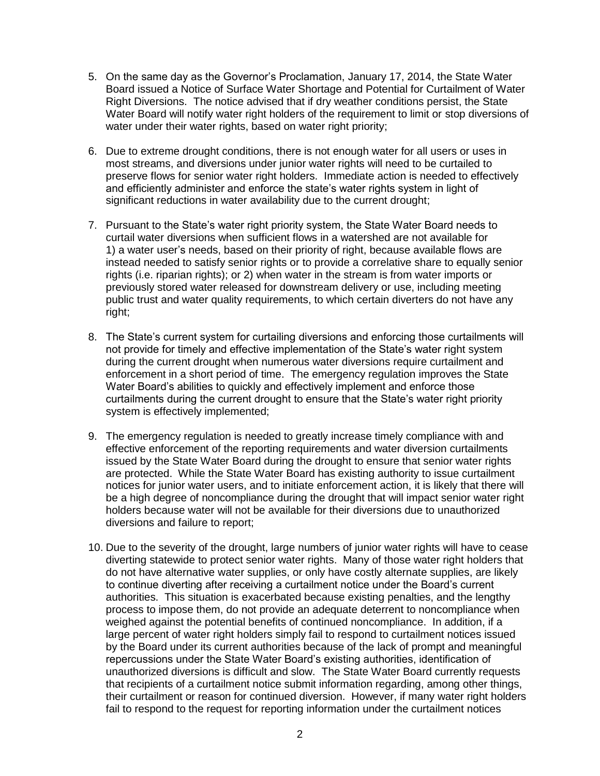- 5. On the same day as the Governor's Proclamation, January 17, 2014, the State Water Board issued a Notice of Surface Water Shortage and Potential for Curtailment of Water Right Diversions. The notice advised that if dry weather conditions persist, the State Water Board will notify water right holders of the requirement to limit or stop diversions of water under their water rights, based on water right priority;
- 6. Due to extreme drought conditions, there is not enough water for all users or uses in most streams, and diversions under junior water rights will need to be curtailed to preserve flows for senior water right holders. Immediate action is needed to effectively and efficiently administer and enforce the state's water rights system in light of significant reductions in water availability due to the current drought;
- 7. Pursuant to the State's water right priority system, the State Water Board needs to curtail water diversions when sufficient flows in a watershed are not available for 1) a water user's needs, based on their priority of right, because available flows are instead needed to satisfy senior rights or to provide a correlative share to equally senior rights (i.e. riparian rights); or 2) when water in the stream is from water imports or previously stored water released for downstream delivery or use, including meeting public trust and water quality requirements, to which certain diverters do not have any right;
- 8. The State's current system for curtailing diversions and enforcing those curtailments will not provide for timely and effective implementation of the State's water right system during the current drought when numerous water diversions require curtailment and enforcement in a short period of time. The emergency regulation improves the State Water Board's abilities to quickly and effectively implement and enforce those curtailments during the current drought to ensure that the State's water right priority system is effectively implemented;
- 9. The emergency regulation is needed to greatly increase timely compliance with and effective enforcement of the reporting requirements and water diversion curtailments issued by the State Water Board during the drought to ensure that senior water rights are protected. While the State Water Board has existing authority to issue curtailment notices for junior water users, and to initiate enforcement action, it is likely that there will be a high degree of noncompliance during the drought that will impact senior water right holders because water will not be available for their diversions due to unauthorized diversions and failure to report;
- 10. Due to the severity of the drought, large numbers of junior water rights will have to cease diverting statewide to protect senior water rights. Many of those water right holders that do not have alternative water supplies, or only have costly alternate supplies, are likely to continue diverting after receiving a curtailment notice under the Board's current authorities. This situation is exacerbated because existing penalties, and the lengthy process to impose them, do not provide an adequate deterrent to noncompliance when weighed against the potential benefits of continued noncompliance. In addition, if a large percent of water right holders simply fail to respond to curtailment notices issued by the Board under its current authorities because of the lack of prompt and meaningful repercussions under the State Water Board's existing authorities, identification of unauthorized diversions is difficult and slow. The State Water Board currently requests that recipients of a curtailment notice submit information regarding, among other things, their curtailment or reason for continued diversion. However, if many water right holders fail to respond to the request for reporting information under the curtailment notices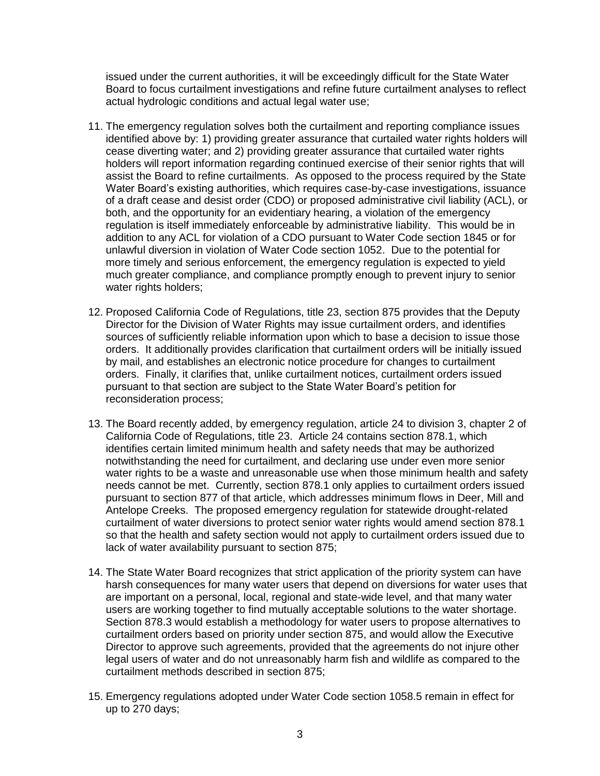issued under the current authorities, it will be exceedingly difficult for the State Water Board to focus curtailment investigations and refine future curtailment analyses to reflect actual hydrologic conditions and actual legal water use;

- 11. The emergency regulation solves both the curtailment and reporting compliance issues identified above by: 1) providing greater assurance that curtailed water rights holders will cease diverting water; and 2) providing greater assurance that curtailed water rights holders will report information regarding continued exercise of their senior rights that will assist the Board to refine curtailments. As opposed to the process required by the State Water Board's existing authorities, which requires case-by-case investigations, issuance of a draft cease and desist order (CDO) or proposed administrative civil liability (ACL), or both, and the opportunity for an evidentiary hearing, a violation of the emergency regulation is itself immediately enforceable by administrative liability. This would be in addition to any ACL for violation of a CDO pursuant to Water Code section 1845 or for unlawful diversion in violation of Water Code section 1052. Due to the potential for more timely and serious enforcement, the emergency regulation is expected to yield much greater compliance, and compliance promptly enough to prevent injury to senior water rights holders;
- 12. Proposed California Code of Regulations, title 23, section 875 provides that the Deputy Director for the Division of Water Rights may issue curtailment orders, and identifies sources of sufficiently reliable information upon which to base a decision to issue those orders. It additionally provides clarification that curtailment orders will be initially issued by mail, and establishes an electronic notice procedure for changes to curtailment orders. Finally, it clarifies that, unlike curtailment notices, curtailment orders issued pursuant to that section are subject to the State Water Board's petition for reconsideration process;
- 13. The Board recently added, by emergency regulation, article 24 to division 3, chapter 2 of California Code of Regulations, title 23. Article 24 contains section 878.1, which identifies certain limited minimum health and safety needs that may be authorized notwithstanding the need for curtailment, and declaring use under even more senior water rights to be a waste and unreasonable use when those minimum health and safety needs cannot be met. Currently, section 878.1 only applies to curtailment orders issued pursuant to section 877 of that article, which addresses minimum flows in Deer, Mill and Antelope Creeks. The proposed emergency regulation for statewide drought-related curtailment of water diversions to protect senior water rights would amend section 878.1 so that the health and safety section would not apply to curtailment orders issued due to lack of water availability pursuant to section 875;
- 14. The State Water Board recognizes that strict application of the priority system can have harsh consequences for many water users that depend on diversions for water uses that are important on a personal, local, regional and state-wide level, and that many water users are working together to find mutually acceptable solutions to the water shortage. Section 878.3 would establish a methodology for water users to propose alternatives to curtailment orders based on priority under section 875, and would allow the Executive Director to approve such agreements, provided that the agreements do not injure other legal users of water and do not unreasonably harm fish and wildlife as compared to the curtailment methods described in section 875;
- 15. Emergency regulations adopted under Water Code section 1058.5 remain in effect for up to 270 days;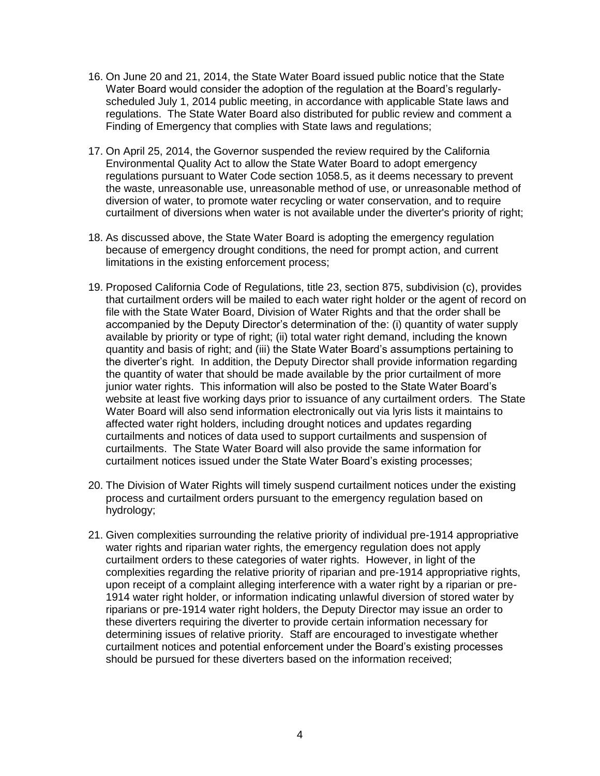- 16. On June 20 and 21, 2014, the State Water Board issued public notice that the State Water Board would consider the adoption of the regulation at the Board's regularly- scheduled July 1, 2014 public meeting, in accordance with applicable State laws and regulations. The State Water Board also distributed for public review and comment a Finding of Emergency that complies with State laws and regulations;
- 17. On April 25, 2014, the Governor suspended the review required by the California Environmental Quality Act to allow the State Water Board to adopt emergency regulations pursuant to Water Code section 1058.5, as it deems necessary to prevent the waste, unreasonable use, unreasonable method of use, or unreasonable method of diversion of water, to promote water recycling or water conservation, and to require curtailment of diversions when water is not available under the diverter's priority of right;
- 18. As discussed above, the State Water Board is adopting the emergency regulation because of emergency drought conditions, the need for prompt action, and current limitations in the existing enforcement process;
- 19. Proposed California Code of Regulations, title 23, section 875, subdivision (c), provides that curtailment orders will be mailed to each water right holder or the agent of record on file with the State Water Board, Division of Water Rights and that the order shall be accompanied by the Deputy Director's determination of the: (i) quantity of water supply available by priority or type of right; (ii) total water right demand, including the known quantity and basis of right; and (iii) the State Water Board's assumptions pertaining to the diverter's right. In addition, the Deputy Director shall provide information regarding the quantity of water that should be made available by the prior curtailment of more junior water rights. This information will also be posted to the State Water Board's website at least five working days prior to issuance of any curtailment orders. The State Water Board will also send information electronically out via lyris lists it maintains to affected water right holders, including drought notices and updates regarding curtailments and notices of data used to support curtailments and suspension of curtailments. The State Water Board will also provide the same information for curtailment notices issued under the State Water Board's existing processes;
- 20. The Division of Water Rights will timely suspend curtailment notices under the existing process and curtailment orders pursuant to the emergency regulation based on hydrology;
- 21. Given complexities surrounding the relative priority of individual pre-1914 appropriative water rights and riparian water rights, the emergency regulation does not apply curtailment orders to these categories of water rights. However, in light of the complexities regarding the relative priority of riparian and pre-1914 appropriative rights, upon receipt of a complaint alleging interference with a water right by a riparian or pre- 1914 water right holder, or information indicating unlawful diversion of stored water by riparians or pre-1914 water right holders, the Deputy Director may issue an order to these diverters requiring the diverter to provide certain information necessary for determining issues of relative priority. Staff are encouraged to investigate whether curtailment notices and potential enforcement under the Board's existing processes should be pursued for these diverters based on the information received;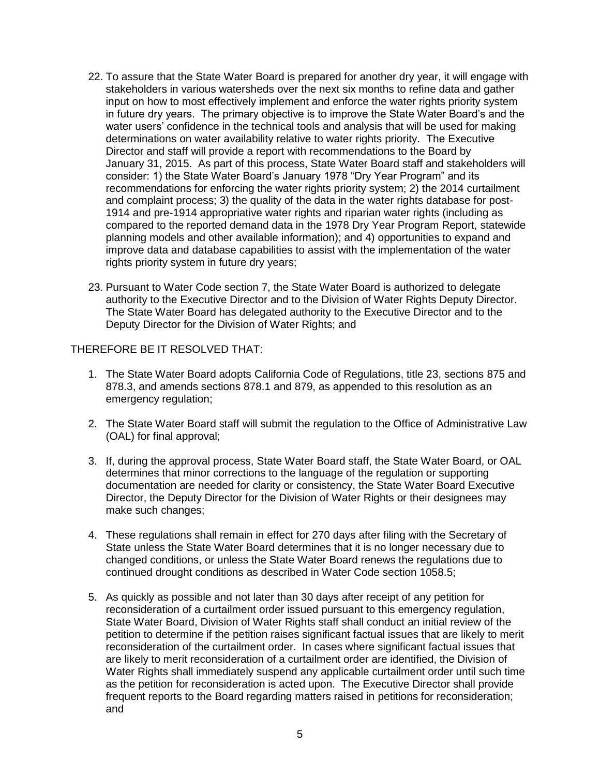- 22. To assure that the State Water Board is prepared for another dry year, it will engage with stakeholders in various watersheds over the next six months to refine data and gather input on how to most effectively implement and enforce the water rights priority system in future dry years. The primary objective is to improve the State Water Board's and the water users' confidence in the technical tools and analysis that will be used for making determinations on water availability relative to water rights priority. The Executive Director and staff will provide a report with recommendations to the Board by January 31, 2015. As part of this process, State Water Board staff and stakeholders will consider: 1) the State Water Board's January 1978 "Dry Year Program" and its recommendations for enforcing the water rights priority system; 2) the 2014 curtailment and complaint process; 3) the quality of the data in the water rights database for post- 1914 and pre-1914 appropriative water rights and riparian water rights (including as compared to the reported demand data in the 1978 Dry Year Program Report, statewide planning models and other available information); and 4) opportunities to expand and improve data and database capabilities to assist with the implementation of the water rights priority system in future dry years;
- 23. Pursuant to Water Code section 7, the State Water Board is authorized to delegate authority to the Executive Director and to the Division of Water Rights Deputy Director. The State Water Board has delegated authority to the Executive Director and to the Deputy Director for the Division of Water Rights; and

THEREFORE BE IT RESOLVED THAT:

- 1. The State Water Board adopts California Code of Regulations, title 23, sections 875 and 878.3, and amends sections 878.1 and 879, as appended to this resolution as an emergency regulation;
- emergency regulation; 2. The State Water Board staff will submit the regulation to the Office of Administrative Law (OAL) for final approval;
- 3. If, during the approval process, State Water Board staff, the State Water Board, or OAL determines that minor corrections to the language of the regulation or supporting documentation are needed for clarity or consistency, the State Water Board Executive Director, the Deputy Director for the Division of Water Rights or their designees may make such changes;
- 4. These regulations shall remain in effect for 270 days after filing with the Secretary of State unless the State Water Board determines that it is no longer necessary due to changed conditions, or unless the State Water Board renews the regulations due to continued drought conditions as described in Water Code section 1058.5;
- 5. As quickly as possible and not later than 30 days after receipt of any petition for reconsideration of a curtailment order issued pursuant to this emergency regulation, State Water Board, Division of Water Rights staff shall conduct an initial review of the petition to determine if the petition raises significant factual issues that are likely to merit reconsideration of the curtailment order. In cases where significant factual issues that are likely to merit reconsideration of a curtailment order are identified, the Division of Water Rights shall immediately suspend any applicable curtailment order until such time as the petition for reconsideration is acted upon. The Executive Director shall provide frequent reports to the Board regarding matters raised in petitions for reconsideration; and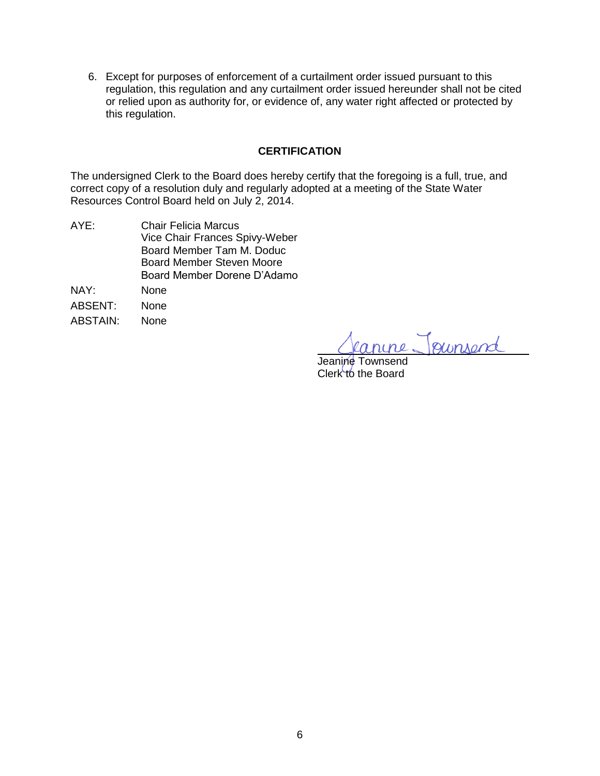6. Except for purposes of enforcement of a curtailment order issued pursuant to this regulation, this regulation and any curtailment order issued hereunder shall not be cited or relied upon as authority for, or evidence of, any water right affected or protected by this regulation.

## **CERTIFICATION**

 The undersigned Clerk to the Board does hereby certify that the foregoing is a full, true, and correct copy of a resolution duly and regularly adopted at a meeting of the State Water Resources Control Board held on July 2, 2014.

AYE: NAY: None ABSENT: None ABSTAIN: None Chair Felicia Marcus Vice Chair Frances Spivy-Weber Board Member Tam M. Doduc Board Member Steven Moore Board Member Dorene D'Adamo

anine Joursend

Jeanine Townsend Clerk to the Board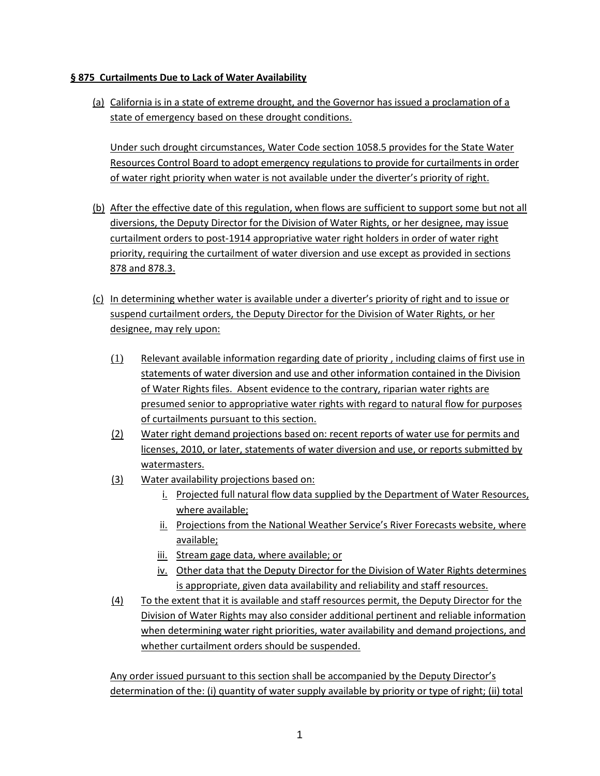## **§ 875 Curtailments Due to Lack of Water Availability**

 (a) California is in a state of extreme drought, and the Governor has issued a proclamation of a state of emergency based on these drought conditions.

 Resources Control Board to adopt emergency regulations to provide for curtailments in order Under such drought circumstances, Water Code section 1058.5 provides for the State Water of water right priority when water is not available under the diverter's priority of right.

- diversions, the Deputy Director for the Division of Water Rights, or her designee, may issue curtailment orders to post-1914 appropriative water right holders in order of water right 878 and 878.3. (b) After the effective date of this regulation, when flows are sufficient to support some but not all priority, requiring the curtailment of water diversion and use except as provided in sections
- 878 and 878.3.<br>(c) In determining whether water is available under a diverter's priority of right and to issue or suspend curtailment orders, the Deputy Director for the Division of Water Rights, or her designee, may rely upon:
	- (1) Relevant available information regarding date of priority , including claims of first use in statements of water diversion and use and other information contained in the Division of Water Rights files. Absent evidence to the contrary, riparian water rights are presumed senior to appropriative water rights with regard to natural flow for purposes of curtailments pursuant to this section.
	- (2) Water right demand projections based on: recent reports of water use for permits and watermasters. licenses, 2010, or later, statements of water diversion and use, or reports submitted by
	- (3) Water availability projections based on:
		- i. Projected full natural flow data supplied by the Department of Water Resources, where available;
		- ii. Projections from the National Weather Service's River Forecasts website, where available;
		- available;<br>iii. Stream gage data, where available; or
		- iv. Other data that the Deputy Director for the Division of Water Rights determines is appropriate, given data availability and reliability and staff resources.
	- (4) To the extent that it is available and staff resources permit, the Deputy Director for the Division of Water Rights may also consider additional pertinent and reliable information when determining water right priorities, water availability and demand projections, and whether curtailment orders should be suspended.

 Any order issued pursuant to this section shall be accompanied by the Deputy Director's determination of the: (i) quantity of water supply available by priority or type of right; (ii) total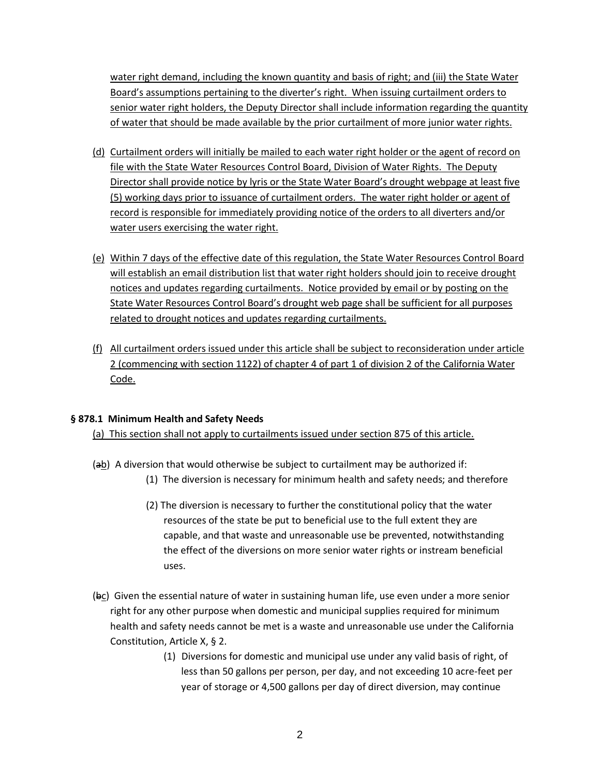water right demand, including the known quantity and basis of right; and (iii) the State Water Board's assumptions pertaining to the diverter's right. When issuing curtailment orders to senior water right holders, the Deputy Director shall include information regarding the quantity of water that should be made available by the prior curtailment of more junior water rights.

- (d) Curtailment orders will initially be mailed to each water right holder or the agent of record on file with the State Water Resources Control Board, Division of Water Rights. The Deputy water users exercising the water right. Director shall provide notice by lyris or the State Water Board's drought webpage at least five (5) working days prior to issuance of curtailment orders. The water right holder or agent of record is responsible for immediately providing notice of the orders to all diverters and/or
- (e) Within 7 days of the effective date of this regulation, the State Water Resources Control Board notices and updates regarding curtailments. Notice provided by email or by posting on the related to drought notices and updates regarding curtailments. will establish an email distribution list that water right holders should join to receive drought State Water Resources Control Board's drought web page shall be sufficient for all purposes
- 2 (commencing with section 1122) of chapter 4 of part 1 of division 2 of the California Water  $f$  All curtailment orders issued under this article shall be subject to reconsideration under article Code.

#### **§ 878.1 Minimum Health and Safety Needs**

(a) This section shall not apply to curtailments issued under section 875 of this article.

- (ab) A diversion that would otherwise be subject to curtailment may be authorized if:
	- (1) The diversion is necessary for minimum health and safety needs; and therefore
	- (2) The diversion is necessary to further the constitutional policy that the water resources of the state be put to beneficial use to the full extent they are capable, and that waste and unreasonable use be prevented, notwithstanding the effect of the diversions on more senior water rights or instream beneficial uses.
- (bc) Given the essential nature of water in sustaining human life, use even under a more senior right for any other purpose when domestic and municipal supplies required for minimum health and safety needs cannot be met is a waste and unreasonable use under the California Constitution, Article X, § 2.
	- (1) Diversions for domestic and municipal use under any valid basis of right, of less than 50 gallons per person, per day, and not exceeding 10 acre-feet per year of storage or 4,500 gallons per day of direct diversion, may continue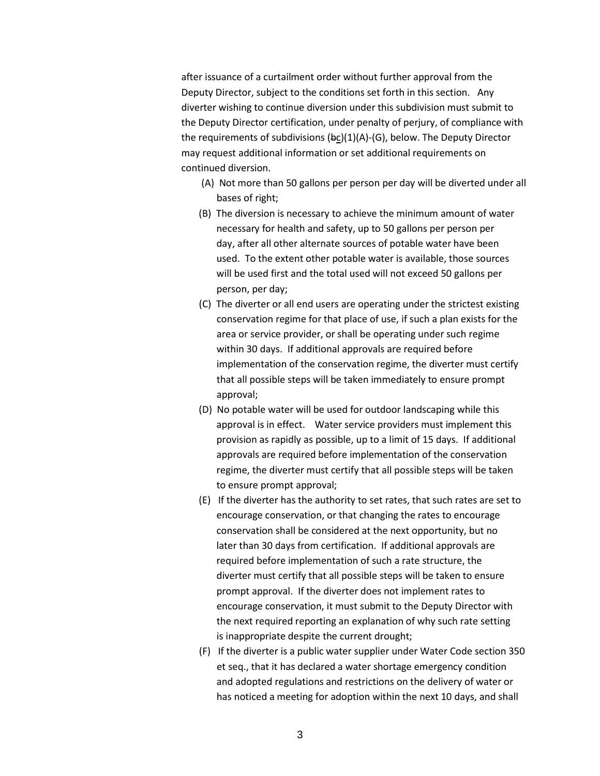after issuance of a curtailment order without further approval from the Deputy Director, subject to the conditions set forth in this section. Any diverter wishing to continue diversion under this subdivision must submit to the Deputy Director certification, under penalty of perjury, of compliance with the requirements of subdivisions (bc)(1)(A)-(G), below. The Deputy Director may request additional information or set additional requirements on continued diversion.

- (A) Not more than 50 gallons per person per day will be diverted under all bases of right;
- (B) The diversion is necessary to achieve the minimum amount of water necessary for health and safety, up to 50 gallons per person per day, after all other alternate sources of potable water have been used. To the extent other potable water is available, those sources will be used first and the total used will not exceed 50 gallons per person, per day;
- (C) The diverter or all end users are operating under the strictest existing conservation regime for that place of use, if such a plan exists for the area or service provider, or shall be operating under such regime within 30 days. If additional approvals are required before implementation of the conservation regime, the diverter must certify that all possible steps will be taken immediately to ensure prompt approval;
- (D) No potable water will be used for outdoor landscaping while this approval is in effect. Water service providers must implement this provision as rapidly as possible, up to a limit of 15 days. If additional approvals are required before implementation of the conservation regime, the diverter must certify that all possible steps will be taken to ensure prompt approval;
- (E) If the diverter has the authority to set rates, that such rates are set to encourage conservation, or that changing the rates to encourage conservation shall be considered at the next opportunity, but no later than 30 days from certification. If additional approvals are required before implementation of such a rate structure, the diverter must certify that all possible steps will be taken to ensure prompt approval. If the diverter does not implement rates to encourage conservation, it must submit to the Deputy Director with the next required reporting an explanation of why such rate setting is inappropriate despite the current drought;
- (F) If the diverter is a public water supplier under Water Code section 350 et seq., that it has declared a water shortage emergency condition and adopted regulations and restrictions on the delivery of water or has noticed a meeting for adoption within the next 10 days, and shall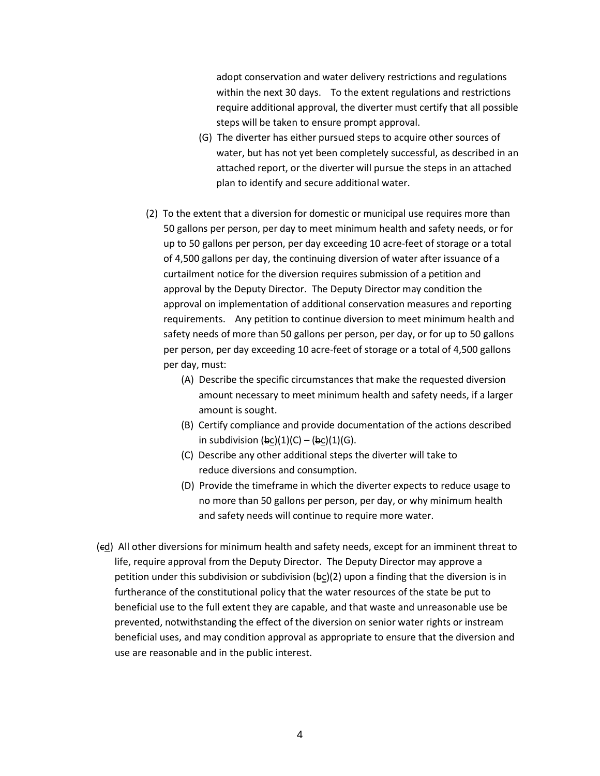adopt conservation and water delivery restrictions and regulations within the next 30 days. To the extent regulations and restrictions require additional approval, the diverter must certify that all possible steps will be taken to ensure prompt approval.

- (G) The diverter has either pursued steps to acquire other sources of water, but has not yet been completely successful, as described in an attached report, or the diverter will pursue the steps in an attached plan to identify and secure additional water.
- (2) To the extent that a diversion for domestic or municipal use requires more than 50 gallons per person, per day to meet minimum health and safety needs, or for up to 50 gallons per person, per day exceeding 10 acre-feet of storage or a total of 4,500 gallons per day, the continuing diversion of water after issuance of a curtailment notice for the diversion requires submission of a petition and approval by the Deputy Director. The Deputy Director may condition the requirements. Any petition to continue diversion to meet minimum health and safety needs of more than 50 gallons per person, per day, or for up to 50 gallons per person, per day exceeding 10 acre-feet of storage or a total of 4,500 gallons per day, must: approval on implementation of additional conservation measures and reporting
	- (A) Describe the specific circumstances that make the requested diversion amount necessary to meet minimum health and safety needs, if a larger amount is sought.
	- (B) Certify compliance and provide documentation of the actions described in subdivision (bc)(1)(C) – (bc)(1)(G).
	- (C) Describe any other additional steps the diverter will take to reduce diversions and consumption.
	- (D) Provide the timeframe in which the diverter expects to reduce usage to no more than 50 gallons per person, per day, or why minimum health and safety needs will continue to require more water.
- (ed) All other diversions for minimum health and safety needs, except for an imminent threat to life, require approval from the Deputy Director. The Deputy Director may approve a petition under this subdivision or subdivision (bc)(2) upon a finding that the diversion is in furtherance of the constitutional policy that the water resources of the state be put to beneficial use to the full extent they are capable, and that waste and unreasonable use be prevented, notwithstanding the effect of the diversion on senior water rights or instream beneficial uses, and may condition approval as appropriate to ensure that the diversion and use are reasonable and in the public interest.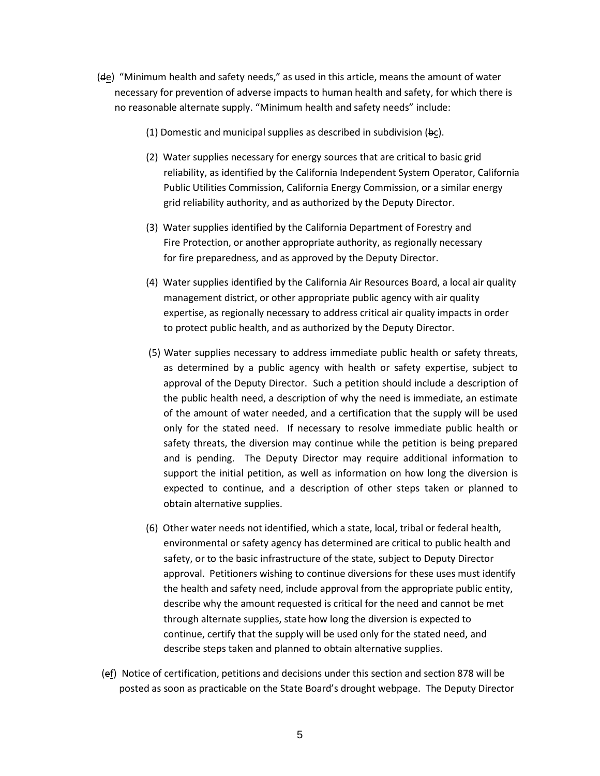- (de) "Minimum health and safety needs," as used in this article, means the amount of water necessary for prevention of adverse impacts to human health and safety, for which there is no reasonable alternate supply. "Minimum health and safety needs" include:
	- (1) Domestic and municipal supplies as described in subdivision  $(\theta \underline{c})$ .
	- (2) Water supplies necessary for energy sources that are critical to basic grid reliability, as identified by the California Independent System Operator, California Public Utilities Commission, California Energy Commission, or a similar energy grid reliability authority, and as authorized by the Deputy Director.
	- (3) Water supplies identified by the California Department of Forestry and Fire Protection, or another appropriate authority, as regionally necessary for fire preparedness, and as approved by the Deputy Director.
	- (4) Water supplies identified by the California Air Resources Board, a local air quality management district, or other appropriate public agency with air quality expertise, as regionally necessary to address critical air quality impacts in order to protect public health, and as authorized by the Deputy Director.
	- (5) Water supplies necessary to address immediate public health or safety threats, as determined by a public agency with health or safety expertise, subject to approval of the Deputy Director. Such a petition should include a description of the public health need, a description of why the need is immediate, an estimate of the amount of water needed, and a certification that the supply will be used only for the stated need. If necessary to resolve immediate public health or safety threats, the diversion may continue while the petition is being prepared and is pending. The Deputy Director may require additional information to support the initial petition, as well as information on how long the diversion is expected to continue, and a description of other steps taken or planned to obtain alternative supplies.
	- (6) Other water needs not identified, which a state, local, tribal or federal health, environmental or safety agency has determined are critical to public health and safety, or to the basic infrastructure of the state, subject to Deputy Director approval. Petitioners wishing to continue diversions for these uses must identify the health and safety need, include approval from the appropriate public entity, describe why the amount requested is critical for the need and cannot be met through alternate supplies, state how long the diversion is expected to continue, certify that the supply will be used only for the stated need, and describe steps taken and planned to obtain alternative supplies.
	- (ef) Notice of certification, petitions and decisions under this section and section 878 will be posted as soon as practicable on the State Board's drought webpage. The Deputy Director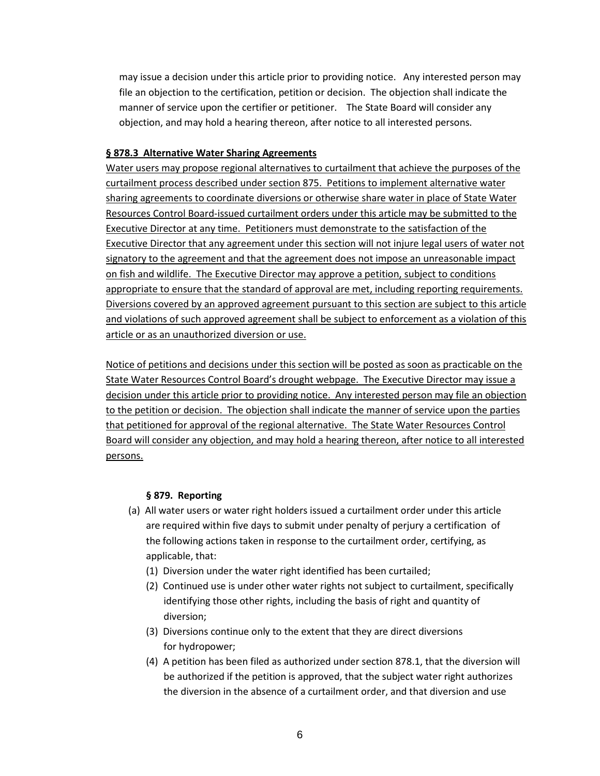may issue a decision under this article prior to providing notice. Any interested person may file an objection to the certification, petition or decision. The objection shall indicate the manner of service upon the certifier or petitioner. The State Board will consider any objection, and may hold a hearing thereon, after notice to all interested persons.

#### **§ 878.3 Alternative Water Sharing Agreements**

 Water users may propose regional alternatives to curtailment that achieve the purposes of the curtailment process described under section 875. Petitions to implement alternative water sharing agreements to coordinate diversions or otherwise share water in place of State Water Executive Director at any time. Petitioners must demonstrate to the satisfaction of the Executive Director that any agreement under this section will not injure legal users of water not on fish and wildlife. The Executive Director may approve a petition, subject to conditions appropriate to ensure that the standard of approval are met, including reporting requirements. article or as an unauthorized diversion or use. Resources Control Board-issued curtailment orders under this article may be submitted to the signatory to the agreement and that the agreement does not impose an unreasonable impact Diversions covered by an approved agreement pursuant to this section are subject to this article and violations of such approved agreement shall be subject to enforcement as a violation of this

 Notice of petitions and decisions under this section will be posted as soon as practicable on the decision under this article prior to providing notice. Any interested person may file an objection to the petition or decision. The objection shall indicate the manner of service upon the parties that petitioned for approval of the regional alternative. The State Water Resources Control Board will consider any objection, and may hold a hearing thereon, after notice to all interested State Water Resources Control Board's drought webpage. The Executive Director may issue a persons.

#### **§ 879. Reporting**

- (a) All water users or water right holders issued a curtailment order under this article are required within five days to submit under penalty of perjury a certification of the following actions taken in response to the curtailment order, certifying, as applicable, that:
	- (1) Diversion under the water right identified has been curtailed;
	- (2) Continued use is under other water rights not subject to curtailment, specifically identifying those other rights, including the basis of right and quantity of diversion;
	- (3) Diversions continue only to the extent that they are direct diversions for hydropower;
	- (4) A petition has been filed as authorized under section 878.1, that the diversion will be authorized if the petition is approved, that the subject water right authorizes the diversion in the absence of a curtailment order, and that diversion and use